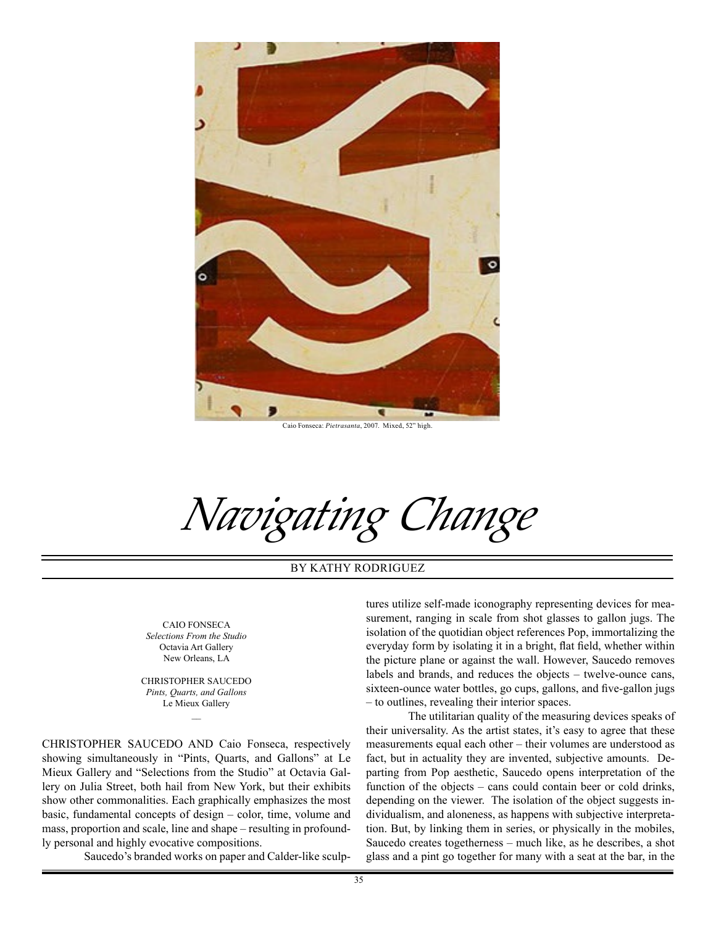

Caio Fonseca: *Pietrasanta*, 2007. Mixed, 52" high.

*Navigating Change*

BY KATHY RODRIGUEZ

CAIO FONSECA *Selections From the Studio* Octavia Art Gallery New Orleans, LA

CHRISTOPHER SAUCEDO *Pints, Quarts, and Gallons* Le Mieux Gallery

CHRISTOPHER SAUCEDO AND Caio Fonseca, respectively showing simultaneously in "Pints, Quarts, and Gallons" at Le Mieux Gallery and "Selections from the Studio" at Octavia Gallery on Julia Street, both hail from New York, but their exhibits show other commonalities. Each graphically emphasizes the most basic, fundamental concepts of design – color, time, volume and mass, proportion and scale, line and shape – resulting in profoundly personal and highly evocative compositions.

Saucedo's branded works on paper and Calder-like sculp-

tures utilize self-made iconography representing devices for measurement, ranging in scale from shot glasses to gallon jugs. The isolation of the quotidian object references Pop, immortalizing the everyday form by isolating it in a bright, flat field, whether within the picture plane or against the wall. However, Saucedo removes labels and brands, and reduces the objects – twelve-ounce cans, sixteen-ounce water bottles, go cups, gallons, and five-gallon jugs – to outlines, revealing their interior spaces.

The utilitarian quality of the measuring devices speaks of their universality. As the artist states, it's easy to agree that these measurements equal each other – their volumes are understood as fact, but in actuality they are invented, subjective amounts. Departing from Pop aesthetic, Saucedo opens interpretation of the function of the objects – cans could contain beer or cold drinks, depending on the viewer. The isolation of the object suggests individualism, and aloneness, as happens with subjective interpretation. But, by linking them in series, or physically in the mobiles, Saucedo creates togetherness – much like, as he describes, a shot glass and a pint go together for many with a seat at the bar, in the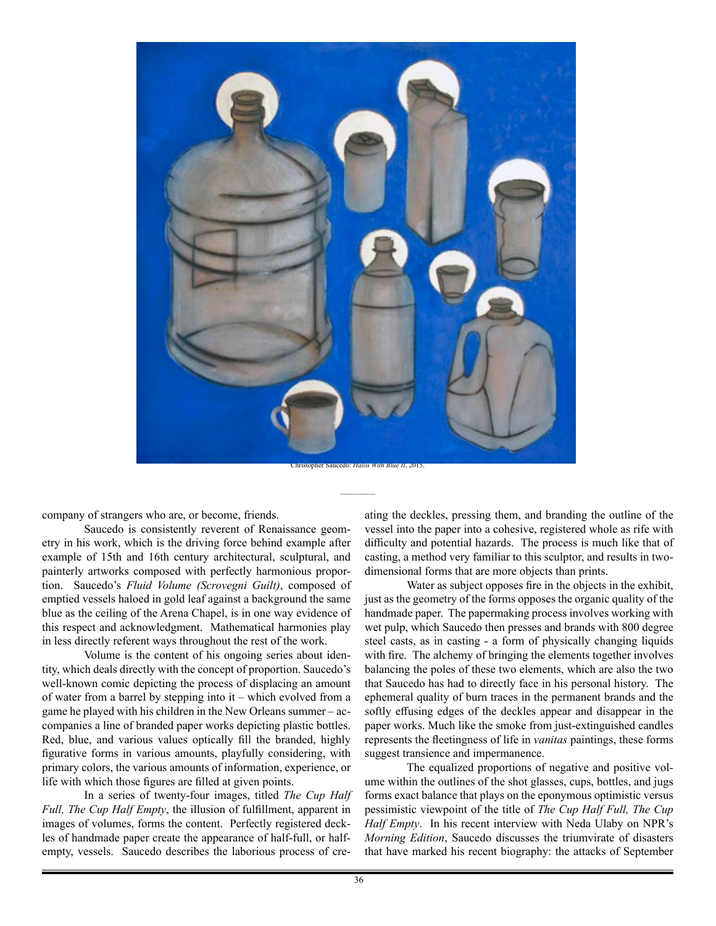

company of strangers who are, or become, friends.

Saucedo is consistently reverent of Renaissance geometry in his work, which is the driving force behind example after example of 15th and 16th century architectural, sculptural, and painterly artworks composed with perfectly harmonious proportion. Saucedo's *Fluid Volume (Scrovegni Guilt)*, composed of emptied vessels haloed in gold leaf against a background the same blue as the ceiling of the Arena Chapel, is in one way evidence of this respect and acknowledgment. Mathematical harmonies play in less directly referent ways throughout the rest of the work.

Volume is the content of his ongoing series about identity, which deals directly with the concept of proportion. Saucedo's well-known comic depicting the process of displacing an amount of water from a barrel by stepping into it – which evolved from a game he played with his children in the New Orleans summer – accompanies a line of branded paper works depicting plastic bottles. Red, blue, and various values optically fill the branded, highly figurative forms in various amounts, playfully considering, with primary colors, the various amounts of information, experience, or life with which those figures are filled at given points.

In a series of twenty-four images, titled *The Cup Half Full, The Cup Half Empty*, the illusion of fulfillment, apparent in images of volumes, forms the content. Perfectly registered deckles of handmade paper create the appearance of half-full, or halfempty, vessels. Saucedo describes the laborious process of creating the deckles, pressing them, and branding the outline of the vessel into the paper into a cohesive, registered whole as rife with difficulty and potential hazards. The process is much like that of casting, a method very familiar to this sculptor, and results in twodimensional forms that are more objects than prints.

Water as subject opposes fire in the objects in the exhibit, just as the geometry of the forms opposes the organic quality of the handmade paper. The papermaking process involves working with wet pulp, which Saucedo then presses and brands with 800 degree steel casts, as in casting - a form of physically changing liquids with fire. The alchemy of bringing the elements together involves balancing the poles of these two elements, which are also the two that Saucedo has had to directly face in his personal history. The ephemeral quality of burn traces in the permanent brands and the softly effusing edges of the deckles appear and disappear in the paper works. Much like the smoke from just-extinguished candles represents the fleetingness of life in *vanitas* paintings, these forms suggest transience and impermanence.

The equalized proportions of negative and positive volume within the outlines of the shot glasses, cups, bottles, and jugs forms exact balance that plays on the eponymous optimistic versus pessimistic viewpoint of the title of *The Cup Half Full, The Cup Half Empty*. In his recent interview with Neda Ulaby on NPR's *Morning Edition*, Saucedo discusses the triumvirate of disasters that have marked his recent biography: the attacks of September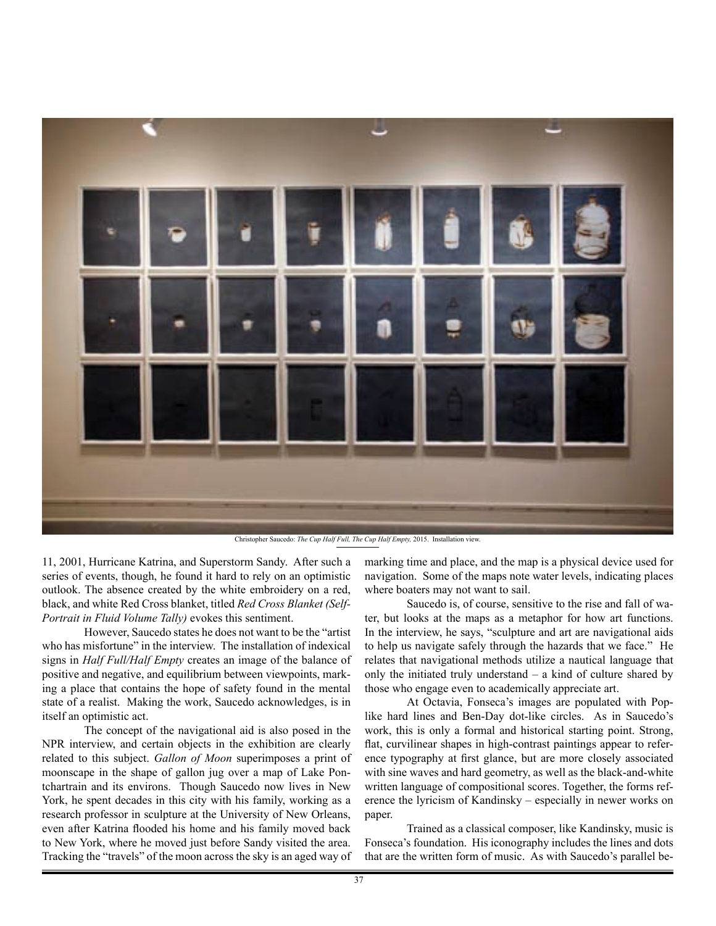

Christopher Saucedo: *The Cup Half Full, The Cup Half Empty,* 2015. Installation view.

11, 2001, Hurricane Katrina, and Superstorm Sandy. After such a series of events, though, he found it hard to rely on an optimistic outlook. The absence created by the white embroidery on a red, black, and white Red Cross blanket, titled *Red Cross Blanket (Self-Portrait in Fluid Volume Tally)* evokes this sentiment.

However, Saucedo states he does not want to be the "artist who has misfortune" in the interview. The installation of indexical signs in *Half Full/Half Empty* creates an image of the balance of positive and negative, and equilibrium between viewpoints, marking a place that contains the hope of safety found in the mental state of a realist. Making the work, Saucedo acknowledges, is in itself an optimistic act.

The concept of the navigational aid is also posed in the NPR interview, and certain objects in the exhibition are clearly related to this subject. *Gallon of Moon* superimposes a print of moonscape in the shape of gallon jug over a map of Lake Pontchartrain and its environs. Though Saucedo now lives in New York, he spent decades in this city with his family, working as a research professor in sculpture at the University of New Orleans, even after Katrina flooded his home and his family moved back to New York, where he moved just before Sandy visited the area. Tracking the "travels" of the moon across the sky is an aged way of marking time and place, and the map is a physical device used for navigation. Some of the maps note water levels, indicating places where boaters may not want to sail.

Saucedo is, of course, sensitive to the rise and fall of water, but looks at the maps as a metaphor for how art functions. In the interview, he says, "sculpture and art are navigational aids to help us navigate safely through the hazards that we face." He relates that navigational methods utilize a nautical language that only the initiated truly understand – a kind of culture shared by those who engage even to academically appreciate art.

At Octavia, Fonseca's images are populated with Poplike hard lines and Ben-Day dot-like circles. As in Saucedo's work, this is only a formal and historical starting point. Strong, flat, curvilinear shapes in high-contrast paintings appear to reference typography at first glance, but are more closely associated with sine waves and hard geometry, as well as the black-and-white written language of compositional scores. Together, the forms reference the lyricism of Kandinsky – especially in newer works on paper.

Trained as a classical composer, like Kandinsky, music is Fonseca's foundation. His iconography includes the lines and dots that are the written form of music. As with Saucedo's parallel be-